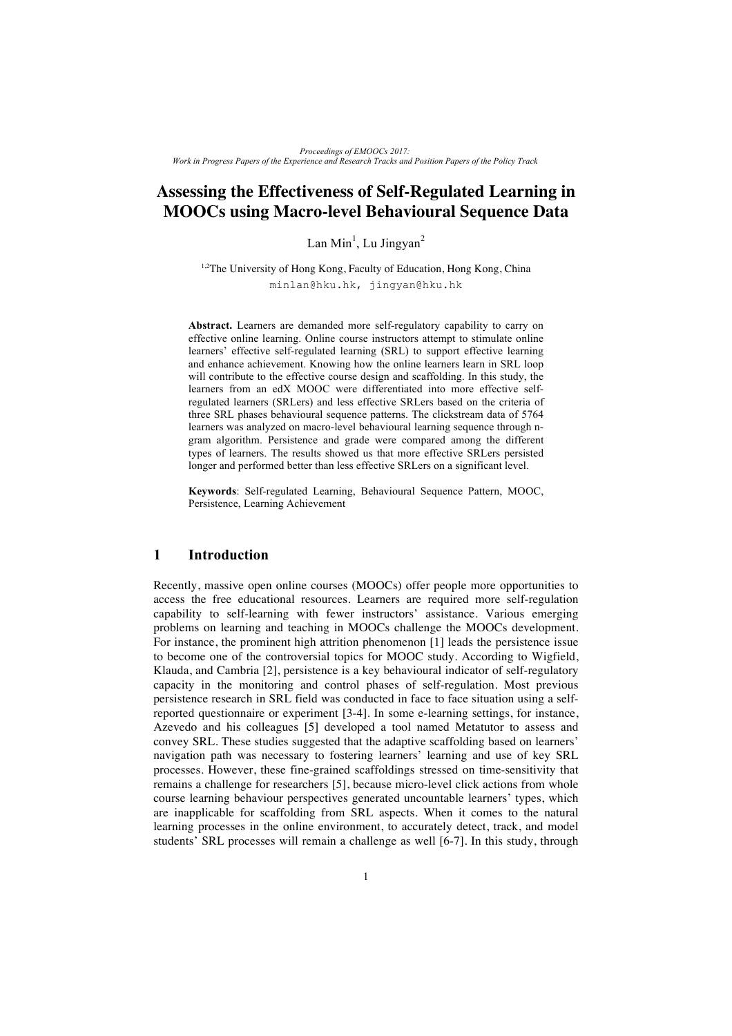# **Assessing the Effectiveness of Self-Regulated Learning in MOOCs using Macro-level Behavioural Sequence Data**

 $\text{Lan Min}^1$ ,  $\text{Lu Jingyan}^2$ 

<sup>1,2</sup>The University of Hong Kong, Faculty of Education, Hong Kong, China minlan@hku.hk, jingyan@hku.hk

**Abstract.** Learners are demanded more self-regulatory capability to carry on effective online learning. Online course instructors attempt to stimulate online learners' effective self-regulated learning (SRL) to support effective learning and enhance achievement. Knowing how the online learners learn in SRL loop will contribute to the effective course design and scaffolding. In this study, the learners from an edX MOOC were differentiated into more effective selfregulated learners (SRLers) and less effective SRLers based on the criteria of three SRL phases behavioural sequence patterns. The clickstream data of 5764 learners was analyzed on macro-level behavioural learning sequence through ngram algorithm. Persistence and grade were compared among the different types of learners. The results showed us that more effective SRLers persisted longer and performed better than less effective SRLers on a significant level.

**Keywords**: Self-regulated Learning, Behavioural Sequence Pattern, MOOC, Persistence, Learning Achievement

## **1 Introduction**

Recently, massive open online courses (MOOCs) offer people more opportunities to access the free educational resources. Learners are required more self-regulation capability to self-learning with fewer instructors' assistance. Various emerging problems on learning and teaching in MOOCs challenge the MOOCs development. For instance, the prominent high attrition phenomenon [1] leads the persistence issue to become one of the controversial topics for MOOC study. According to Wigfield, Klauda, and Cambria [2], persistence is a key behavioural indicator of self-regulatory capacity in the monitoring and control phases of self-regulation. Most previous persistence research in SRL field was conducted in face to face situation using a selfreported questionnaire or experiment [3-4]. In some e-learning settings, for instance, Azevedo and his colleagues [5] developed a tool named Metatutor to assess and convey SRL. These studies suggested that the adaptive scaffolding based on learners' navigation path was necessary to fostering learners' learning and use of key SRL processes. However, these fine-grained scaffoldings stressed on time-sensitivity that remains a challenge for researchers [5], because micro-level click actions from whole course learning behaviour perspectives generated uncountable learners' types, which are inapplicable for scaffolding from SRL aspects. When it comes to the natural learning processes in the online environment, to accurately detect, track, and model students' SRL processes will remain a challenge as well [6-7]. In this study, through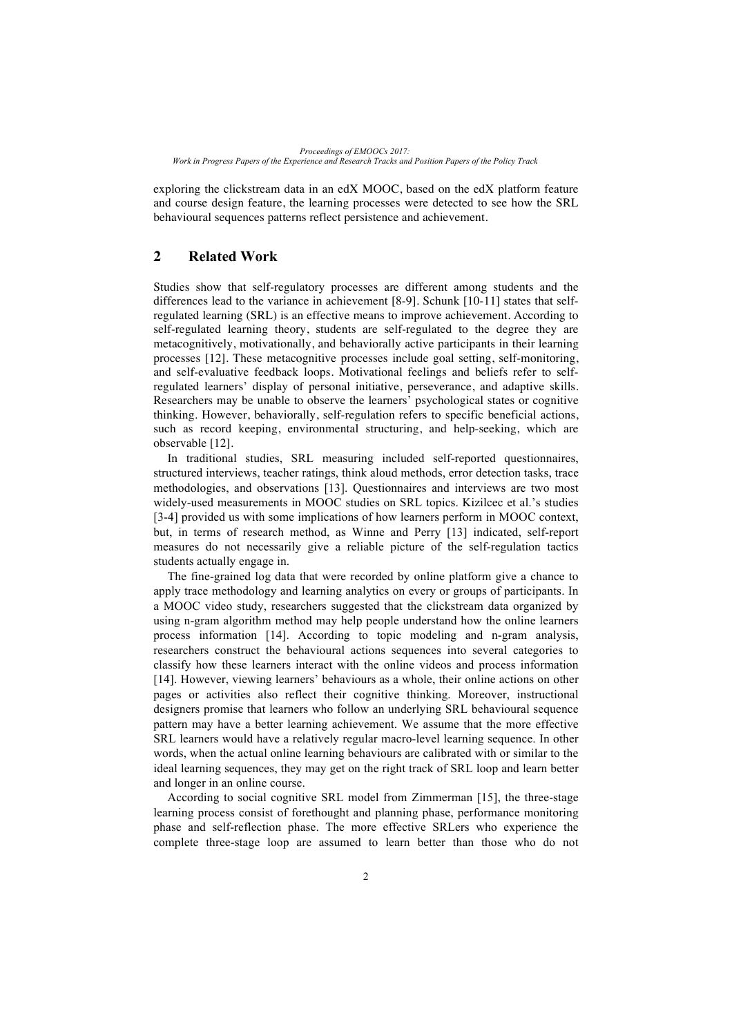exploring the clickstream data in an edX MOOC, based on the edX platform feature and course design feature, the learning processes were detected to see how the SRL behavioural sequences patterns reflect persistence and achievement.

### **2 Related Work**

Studies show that self-regulatory processes are different among students and the differences lead to the variance in achievement [8-9]. Schunk [10-11] states that selfregulated learning (SRL) is an effective means to improve achievement. According to self-regulated learning theory, students are self-regulated to the degree they are metacognitively, motivationally, and behaviorally active participants in their learning processes [12]. These metacognitive processes include goal setting, self-monitoring, and self-evaluative feedback loops. Motivational feelings and beliefs refer to selfregulated learners' display of personal initiative, perseverance, and adaptive skills. Researchers may be unable to observe the learners' psychological states or cognitive thinking. However, behaviorally, self-regulation refers to specific beneficial actions, such as record keeping, environmental structuring, and help-seeking, which are observable [12].

In traditional studies, SRL measuring included self-reported questionnaires, structured interviews, teacher ratings, think aloud methods, error detection tasks, trace methodologies, and observations [13]. Questionnaires and interviews are two most widely-used measurements in MOOC studies on SRL topics. Kizilcec et al.'s studies [3-4] provided us with some implications of how learners perform in MOOC context, but, in terms of research method, as Winne and Perry [13] indicated, self-report measures do not necessarily give a reliable picture of the self-regulation tactics students actually engage in.

The fine-grained log data that were recorded by online platform give a chance to apply trace methodology and learning analytics on every or groups of participants. In a MOOC video study, researchers suggested that the clickstream data organized by using n-gram algorithm method may help people understand how the online learners process information [14]. According to topic modeling and n-gram analysis, researchers construct the behavioural actions sequences into several categories to classify how these learners interact with the online videos and process information [14]. However, viewing learners' behaviours as a whole, their online actions on other pages or activities also reflect their cognitive thinking. Moreover, instructional designers promise that learners who follow an underlying SRL behavioural sequence pattern may have a better learning achievement. We assume that the more effective SRL learners would have a relatively regular macro-level learning sequence. In other words, when the actual online learning behaviours are calibrated with or similar to the ideal learning sequences, they may get on the right track of SRL loop and learn better and longer in an online course.

According to social cognitive SRL model from Zimmerman [15], the three-stage learning process consist of forethought and planning phase, performance monitoring phase and self-reflection phase. The more effective SRLers who experience the complete three-stage loop are assumed to learn better than those who do not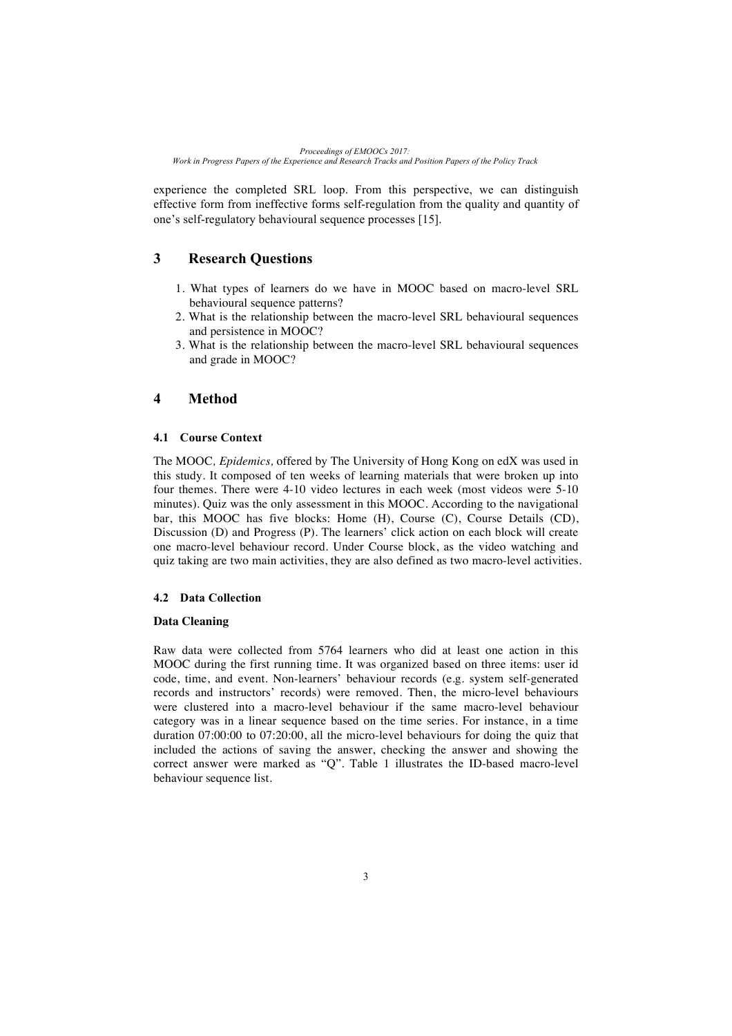experience the completed SRL loop. From this perspective, we can distinguish effective form from ineffective forms self-regulation from the quality and quantity of one's self-regulatory behavioural sequence processes [15].

## **3 Research Questions**

- 1. What types of learners do we have in MOOC based on macro-level SRL behavioural sequence patterns?
- 2. What is the relationship between the macro-level SRL behavioural sequences and persistence in MOOC?
- 3. What is the relationship between the macro-level SRL behavioural sequences and grade in MOOC?

## **4 Method**

### **4.1 Course Context**

The MOOC*, Epidemics,* offered by The University of Hong Kong on edX was used in this study. It composed of ten weeks of learning materials that were broken up into four themes. There were 4-10 video lectures in each week (most videos were 5-10 minutes). Quiz was the only assessment in this MOOC. According to the navigational bar, this MOOC has five blocks: Home (H), Course (C), Course Details (CD), Discussion (D) and Progress (P). The learners' click action on each block will create one macro-level behaviour record. Under Course block, as the video watching and quiz taking are two main activities, they are also defined as two macro-level activities.

### **4.2 Data Collection**

#### **Data Cleaning**

Raw data were collected from 5764 learners who did at least one action in this MOOC during the first running time. It was organized based on three items: user id code, time, and event. Non-learners' behaviour records (e.g. system self-generated records and instructors' records) were removed. Then, the micro-level behaviours were clustered into a macro-level behaviour if the same macro-level behaviour category was in a linear sequence based on the time series. For instance, in a time duration 07:00:00 to 07:20:00, all the micro-level behaviours for doing the quiz that included the actions of saving the answer, checking the answer and showing the correct answer were marked as "Q". Table 1 illustrates the ID-based macro-level behaviour sequence list.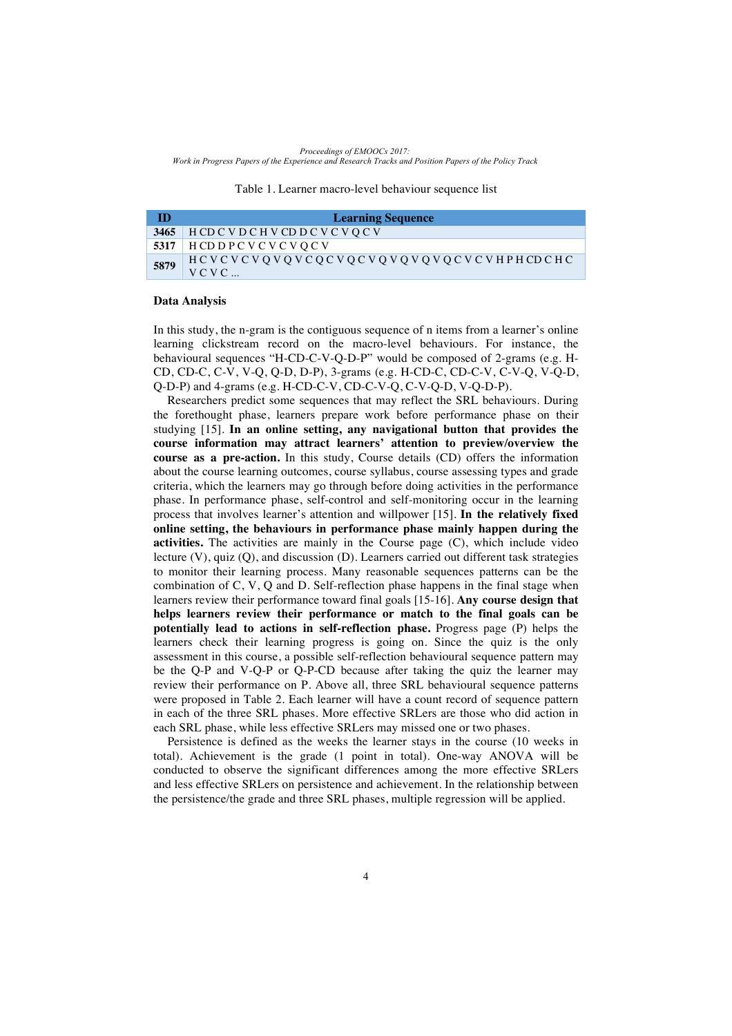Table 1. Learner macro-level behaviour sequence list

| m    | <b>Learning Sequence</b>                        |
|------|-------------------------------------------------|
| 3465 | HCD C V D C H V CD D C V C V Q C V              |
|      | 5317   HCD D P C V C V C V O C V                |
| 5879 | HCVCVCVQVQVCQCVQCVQVQVQVQCVCVHPHCDCHC<br>$VCVC$ |

#### **Data Analysis**

In this study, the n-gram is the contiguous sequence of n items from a learner's online learning clickstream record on the macro-level behaviours. For instance, the behavioural sequences "H-CD-C-V-Q-D-P" would be composed of 2-grams (e.g. H-CD, CD-C, C-V, V-Q, Q-D, D-P), 3-grams (e.g. H-CD-C, CD-C-V, C-V-Q, V-Q-D, Q-D-P) and 4-grams (e.g. H-CD-C-V, CD-C-V-Q, C-V-Q-D, V-Q-D-P).

Researchers predict some sequences that may reflect the SRL behaviours. During the forethought phase, learners prepare work before performance phase on their studying [15]. **In an online setting, any navigational button that provides the course information may attract learners' attention to preview/overview the course as a pre-action.** In this study, Course details (CD) offers the information about the course learning outcomes, course syllabus, course assessing types and grade criteria, which the learners may go through before doing activities in the performance phase. In performance phase, self-control and self-monitoring occur in the learning process that involves learner's attention and willpower [15]. **In the relatively fixed online setting, the behaviours in performance phase mainly happen during the activities.** The activities are mainly in the Course page (C), which include video lecture (V), quiz (Q), and discussion (D). Learners carried out different task strategies to monitor their learning process. Many reasonable sequences patterns can be the combination of C, V, Q and D. Self-reflection phase happens in the final stage when learners review their performance toward final goals [15-16]. **Any course design that helps learners review their performance or match to the final goals can be potentially lead to actions in self-reflection phase.** Progress page (P) helps the learners check their learning progress is going on. Since the quiz is the only assessment in this course, a possible self-reflection behavioural sequence pattern may be the Q-P and V-Q-P or Q-P-CD because after taking the quiz the learner may review their performance on P. Above all, three SRL behavioural sequence patterns were proposed in Table 2. Each learner will have a count record of sequence pattern in each of the three SRL phases. More effective SRLers are those who did action in each SRL phase, while less effective SRLers may missed one or two phases.

Persistence is defined as the weeks the learner stays in the course (10 weeks in total). Achievement is the grade (1 point in total). One-way ANOVA will be conducted to observe the significant differences among the more effective SRLers and less effective SRLers on persistence and achievement. In the relationship between the persistence/the grade and three SRL phases, multiple regression will be applied.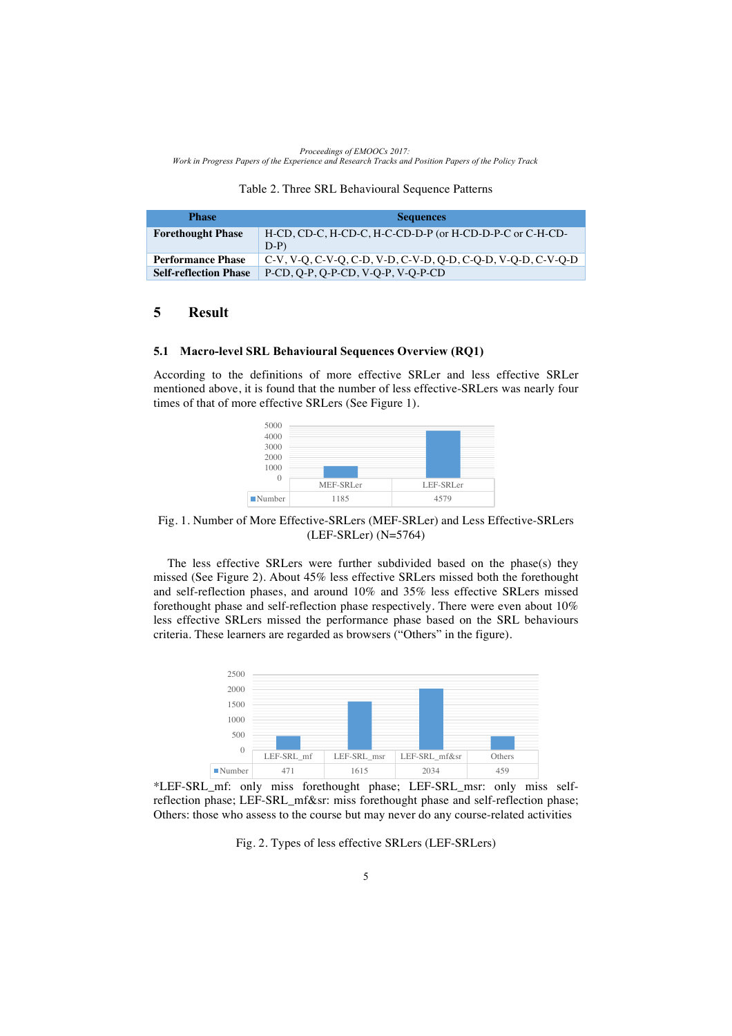|  |  |  | Table 2. Three SRL Behavioural Sequence Patterns |  |  |
|--|--|--|--------------------------------------------------|--|--|
|--|--|--|--------------------------------------------------|--|--|

| <b>Phase</b>                 | <b>Sequences</b>                                                  |
|------------------------------|-------------------------------------------------------------------|
| <b>Forethought Phase</b>     | H-CD, CD-C, H-CD-C, H-C-CD-D-P (or H-CD-D-P-C or C-H-CD-<br>$D-P$ |
| <b>Performance Phase</b>     | C-V, V-Q, C-V-Q, C-D, V-D, C-V-D, Q-D, C-Q-D, V-Q-D, C-V-Q-D      |
| <b>Self-reflection Phase</b> | P-CD, O-P, O-P-CD, V-O-P, V-O-P-CD                                |

### **5 Result**

#### **5.1 Macro-level SRL Behavioural Sequences Overview (RQ1)**

According to the definitions of more effective SRLer and less effective SRLer mentioned above, it is found that the number of less effective-SRLers was nearly four times of that of more effective SRLers (See Figure 1).



Fig. 1. Number of More Effective-SRLers (MEF-SRLer) and Less Effective-SRLers (LEF-SRLer) (N=5764)

The less effective SRLers were further subdivided based on the phase(s) they missed (See Figure 2). About 45% less effective SRLers missed both the forethought and self-reflection phases, and around 10% and 35% less effective SRLers missed forethought phase and self-reflection phase respectively. There were even about 10% less effective SRLers missed the performance phase based on the SRL behaviours criteria. These learners are regarded as browsers ("Others" in the figure).



\*LEF-SRL\_mf: only miss forethought phase; LEF-SRL\_msr: only miss selfreflection phase; LEF-SRL\_mf&sr: miss forethought phase and self-reflection phase; Others: those who assess to the course but may never do any course-related activities

Fig. 2. Types of less effective SRLers (LEF-SRLers)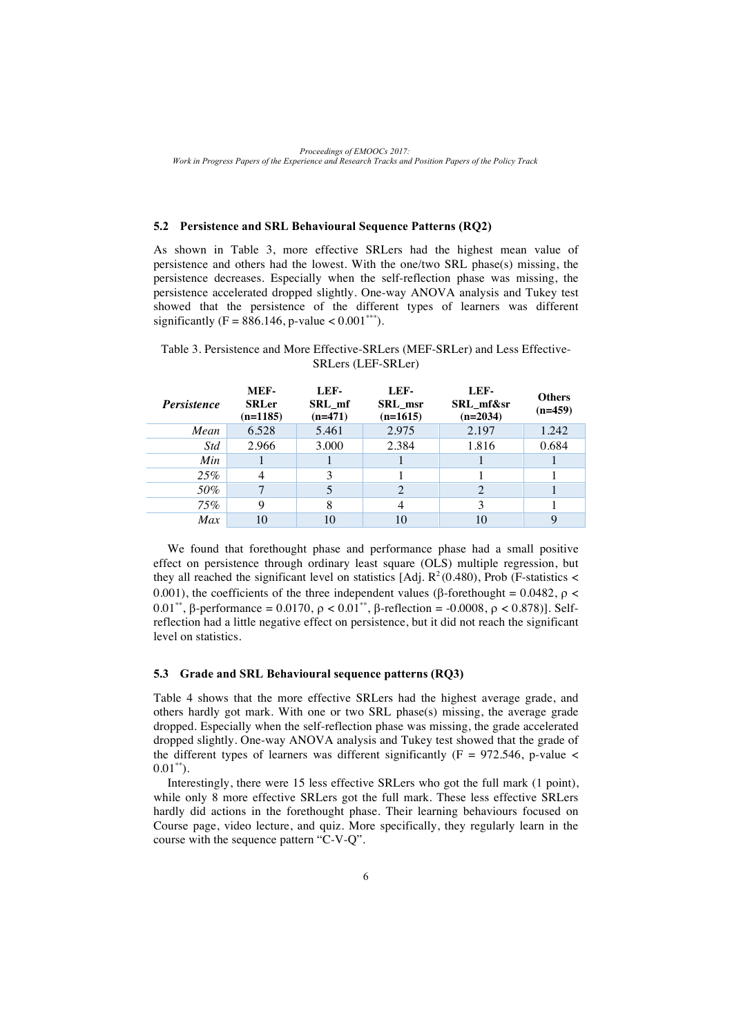*Proceedings of EMOOCs 2017: Work in Progress Papers of the Experience and Research Tracks and Position Papers of the Policy Track*

### **5.2 Persistence and SRL Behavioural Sequence Patterns (RQ2)**

As shown in Table 3, more effective SRLers had the highest mean value of persistence and others had the lowest. With the one/two SRL phase(s) missing, the persistence decreases. Especially when the self-reflection phase was missing, the persistence accelerated dropped slightly. One-way ANOVA analysis and Tukey test showed that the persistence of the different types of learners was different significantly (F = 886.146, p-value <  $0.001***$ ).

#### Table 3. Persistence and More Effective-SRLers (MEF-SRLer) and Less Effective-SRLers (LEF-SRLer)

| <i>Persistence</i> | MEF-<br><b>SRLer</b><br>$(n=1185)$ | LEF-<br>SRL mf<br>$(n=471)$ | LEF-<br>SRL msr<br>$(n=1615)$ | LEF-<br>SRL mf&sr<br>$(n=2034)$ | <b>Others</b><br>$(n=459)$ |
|--------------------|------------------------------------|-----------------------------|-------------------------------|---------------------------------|----------------------------|
| Mean               | 6.528                              | 5.461                       | 2.975                         | 2.197                           | 1.242                      |
| <i>Std</i>         | 2.966                              | 3.000                       | 2.384                         | 1.816                           | 0.684                      |
| Min                |                                    |                             |                               |                                 |                            |
| 25%                | 4                                  | 3                           |                               |                                 |                            |
| 50%                | 7                                  |                             | 2                             |                                 |                            |
| 75%                | 9                                  | 8                           |                               |                                 |                            |
| Max                | 10                                 |                             | 10                            |                                 | 9                          |

We found that forethought phase and performance phase had a small positive effect on persistence through ordinary least square (OLS) multiple regression, but they all reached the significant level on statistics  $[Ad]$ .  $R^2(0.480)$ , Prob (F-statistics < 0.001), the coefficients of the three independent values ( $\beta$ -forethought = 0.0482,  $\rho$  < 0.01\*\*,  $\beta$ -performance = 0.0170,  $\rho < 0.01$ \*\*,  $\beta$ -reflection = -0.0008,  $\rho < 0.878$ )]. Selfreflection had a little negative effect on persistence, but it did not reach the significant level on statistics.

#### **5.3 Grade and SRL Behavioural sequence patterns (RQ3)**

Table 4 shows that the more effective SRLers had the highest average grade, and others hardly got mark. With one or two SRL phase(s) missing, the average grade dropped. Especially when the self-reflection phase was missing, the grade accelerated dropped slightly. One-way ANOVA analysis and Tukey test showed that the grade of the different types of learners was different significantly ( $F = 972.546$ , p-value <  $0.01^{**}$ ).

Interestingly, there were 15 less effective SRLers who got the full mark (1 point), while only 8 more effective SRLers got the full mark. These less effective SRLers hardly did actions in the forethought phase. Their learning behaviours focused on Course page, video lecture, and quiz. More specifically, they regularly learn in the course with the sequence pattern "C-V-Q".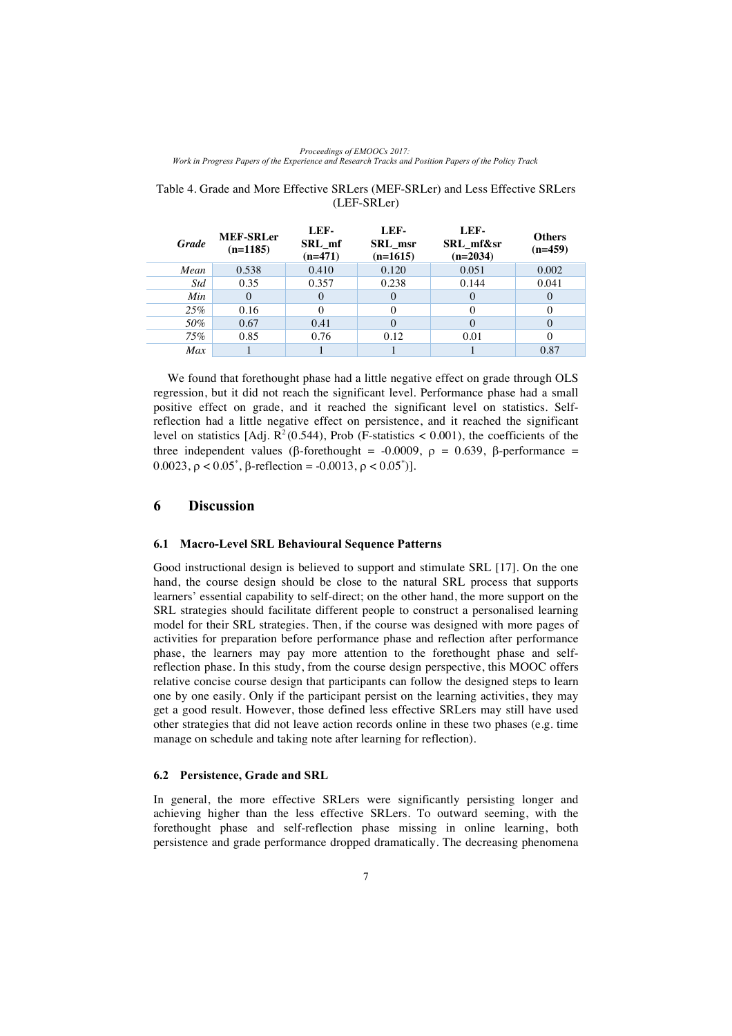| <b>Grade</b> | <b>MEF-SRLer</b><br>$(n=1185)$ | LEF-<br>SRL mf<br>$(n=471)$ | LEF-<br>SRL msr<br>$(n=1615)$ | LEF-<br>SRL mf&sr<br>$(n=2034)$ | <b>Others</b><br>$(n=459)$ |
|--------------|--------------------------------|-----------------------------|-------------------------------|---------------------------------|----------------------------|
| Mean         | 0.538                          | 0.410                       | 0.120                         | 0.051                           | 0.002                      |
| <b>Std</b>   | 0.35                           | 0.357                       | 0.238                         | 0.144                           | 0.041                      |
| Min          |                                | $\theta$                    | $\theta$                      |                                 | $\theta$                   |
| 25%          | 0.16                           |                             | 0                             |                                 |                            |
| 50%          | 0.67                           | 0.41                        | $\Omega$                      |                                 | $\Omega$                   |
| 75%          | 0.85                           | 0.76                        | 0.12                          | 0.01                            | $\Omega$                   |
| Max          |                                |                             |                               |                                 | 0.87                       |

#### Table 4. Grade and More Effective SRLers (MEF-SRLer) and Less Effective SRLers (LEF-SRLer)

We found that forethought phase had a little negative effect on grade through OLS regression, but it did not reach the significant level. Performance phase had a small positive effect on grade, and it reached the significant level on statistics. Selfreflection had a little negative effect on persistence, and it reached the significant level on statistics [Adj.  $R^2(0.544)$ , Prob (F-statistics < 0.001), the coefficients of the three independent values ( $\beta$ -forethought = -0.0009,  $\rho$  = 0.639,  $\beta$ -performance =  $0.0023$ ,  $\rho < 0.05^*$ ,  $\beta$ -reflection = -0.0013,  $\rho < 0.05^*$ )].

### **6 Discussion**

#### **6.1 Macro-Level SRL Behavioural Sequence Patterns**

Good instructional design is believed to support and stimulate SRL [17]. On the one hand, the course design should be close to the natural SRL process that supports learners' essential capability to self-direct; on the other hand, the more support on the SRL strategies should facilitate different people to construct a personalised learning model for their SRL strategies. Then, if the course was designed with more pages of activities for preparation before performance phase and reflection after performance phase, the learners may pay more attention to the forethought phase and selfreflection phase. In this study, from the course design perspective, this MOOC offers relative concise course design that participants can follow the designed steps to learn one by one easily. Only if the participant persist on the learning activities, they may get a good result. However, those defined less effective SRLers may still have used other strategies that did not leave action records online in these two phases (e.g. time manage on schedule and taking note after learning for reflection).

#### **6.2 Persistence, Grade and SRL**

In general, the more effective SRLers were significantly persisting longer and achieving higher than the less effective SRLers. To outward seeming, with the forethought phase and self-reflection phase missing in online learning, both persistence and grade performance dropped dramatically. The decreasing phenomena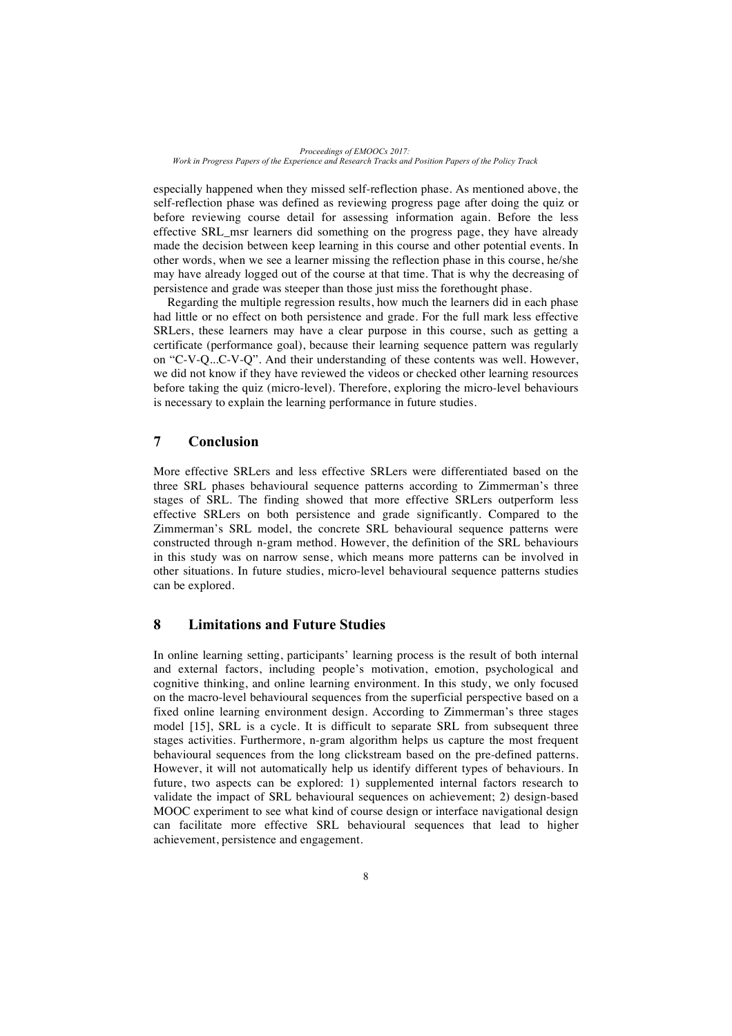*Proceedings of EMOOCs 2017: Work in Progress Papers of the Experience and Research Tracks and Position Papers of the Policy Track*

especially happened when they missed self-reflection phase. As mentioned above, the self-reflection phase was defined as reviewing progress page after doing the quiz or before reviewing course detail for assessing information again. Before the less effective SRL\_msr learners did something on the progress page, they have already made the decision between keep learning in this course and other potential events. In other words, when we see a learner missing the reflection phase in this course, he/she may have already logged out of the course at that time. That is why the decreasing of persistence and grade was steeper than those just miss the forethought phase.

Regarding the multiple regression results, how much the learners did in each phase had little or no effect on both persistence and grade. For the full mark less effective SRLers, these learners may have a clear purpose in this course, such as getting a certificate (performance goal), because their learning sequence pattern was regularly on "C-V-Q...C-V-Q". And their understanding of these contents was well. However, we did not know if they have reviewed the videos or checked other learning resources before taking the quiz (micro-level). Therefore, exploring the micro-level behaviours is necessary to explain the learning performance in future studies.

## **7 Conclusion**

More effective SRLers and less effective SRLers were differentiated based on the three SRL phases behavioural sequence patterns according to Zimmerman's three stages of SRL. The finding showed that more effective SRLers outperform less effective SRLers on both persistence and grade significantly. Compared to the Zimmerman's SRL model, the concrete SRL behavioural sequence patterns were constructed through n-gram method. However, the definition of the SRL behaviours in this study was on narrow sense, which means more patterns can be involved in other situations. In future studies, micro-level behavioural sequence patterns studies can be explored.

### **8 Limitations and Future Studies**

In online learning setting, participants' learning process is the result of both internal and external factors, including people's motivation, emotion, psychological and cognitive thinking, and online learning environment. In this study, we only focused on the macro-level behavioural sequences from the superficial perspective based on a fixed online learning environment design. According to Zimmerman's three stages model [15], SRL is a cycle. It is difficult to separate SRL from subsequent three stages activities. Furthermore, n-gram algorithm helps us capture the most frequent behavioural sequences from the long clickstream based on the pre-defined patterns. However, it will not automatically help us identify different types of behaviours. In future, two aspects can be explored: 1) supplemented internal factors research to validate the impact of SRL behavioural sequences on achievement; 2) design-based MOOC experiment to see what kind of course design or interface navigational design can facilitate more effective SRL behavioural sequences that lead to higher achievement, persistence and engagement.